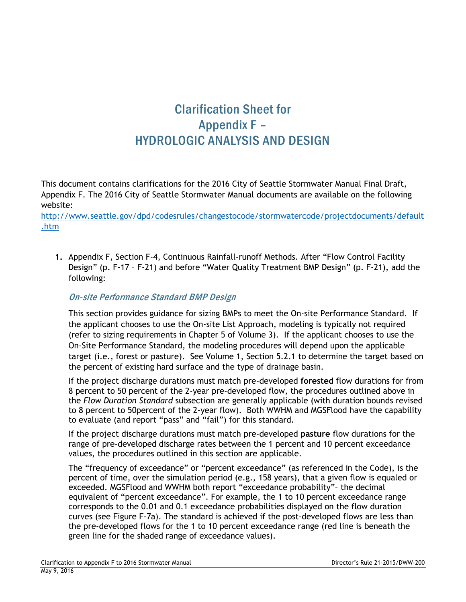# Clarification Sheet for Appendix F – HYDROLOGIC ANALYSIS AND DESIGN

This document contains clarifications for the 2016 City of Seattle Stormwater Manual Final Draft, Appendix F. The 2016 City of Seattle Stormwater Manual documents are available on the following website:

[http://www.seattle.gov/dpd/codesrules/changestocode/stormwatercode/projectdocuments/default](http://www.seattle.gov/dpd/codesrules/changestocode/stormwatercode/projectdocuments/default.htm) [.htm](http://www.seattle.gov/dpd/codesrules/changestocode/stormwatercode/projectdocuments/default.htm)

**1.** Appendix F, Section F-4, Continuous Rainfall-runoff Methods. After "Flow Control Facility Design" (p. F-17 – F-21) and before "Water Quality Treatment BMP Design" (p. F-21), add the following:

# On-site Performance Standard BMP Design

This section provides guidance for sizing BMPs to meet the On-site Performance Standard. If the applicant chooses to use the On-site List Approach, modeling is typically not required (refer to sizing requirements in Chapter 5 of Volume 3). If the applicant chooses to use the On-Site Performance Standard, the modeling procedures will depend upon the applicable target (i.e., forest or pasture). See Volume 1, Section 5.2.1 to determine the target based on the percent of existing hard surface and the type of drainage basin.

If the project discharge durations must match pre-developed **forested** flow durations for from 8 percent to 50 percent of the 2-year pre-developed flow, the procedures outlined above in the *Flow Duration Standard* subsection are generally applicable (with duration bounds revised to 8 percent to 50percent of the 2-year flow). Both WWHM and MGSFlood have the capability to evaluate (and report "pass" and "fail") for this standard.

If the project discharge durations must match pre-developed **pasture** flow durations for the range of pre-developed discharge rates between the 1 percent and 10 percent exceedance values, the procedures outlined in this section are applicable.

The "frequency of exceedance" or "percent exceedance" (as referenced in the Code), is the percent of time, over the simulation period (e.g., 158 years), that a given flow is equaled or exceeded. MGSFlood and WWHM both report "exceedance probability"– the decimal equivalent of "percent exceedance". For example, the 1 to 10 percent exceedance range corresponds to the 0.01 and 0.1 exceedance probabilities displayed on the flow duration curves (see Figure F-7a). The standard is achieved if the post-developed flows are less than the pre-developed flows for the 1 to 10 percent exceedance range (red line is beneath the green line for the shaded range of exceedance values).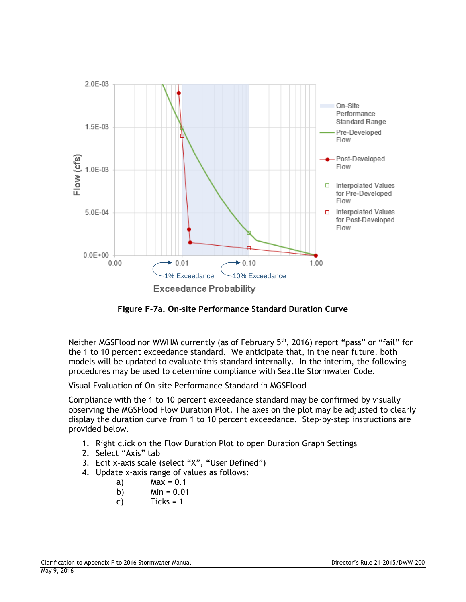

**Figure F-7a. On-site Performance Standard Duration Curve**

Neither MGSFlood nor WWHM currently (as of February 5<sup>th</sup>, 2016) report "pass" or "fail" for the 1 to 10 percent exceedance standard. We anticipate that, in the near future, both models will be updated to evaluate this standard internally. In the interim, the following procedures may be used to determine compliance with Seattle Stormwater Code.

#### Visual Evaluation of On-site Performance Standard in MGSFlood

Compliance with the 1 to 10 percent exceedance standard may be confirmed by visually observing the MGSFlood Flow Duration Plot. The axes on the plot may be adjusted to clearly display the duration curve from 1 to 10 percent exceedance. Step-by-step instructions are provided below.

- 1. Right click on the Flow Duration Plot to open Duration Graph Settings
- 2. Select "Axis" tab
- 3. Edit x-axis scale (select "X", "User Defined")
- 4. Update x-axis range of values as follows:
	- a)  $Max = 0.1$
	- b)  $Min = 0.01$
	- $c)$  Ticks = 1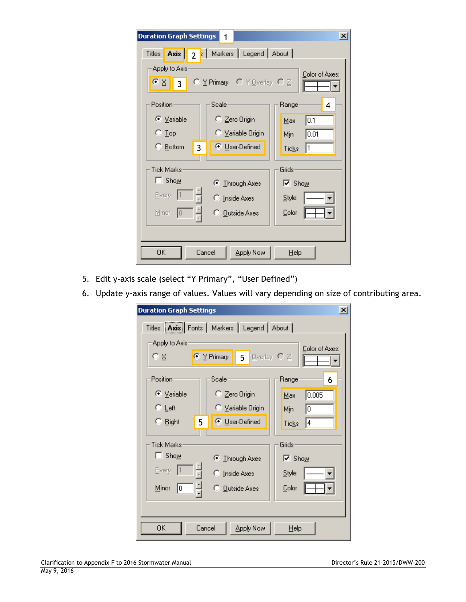| <b>Duration Graph Settings</b>           | 1                           | $\overline{\mathbf{x}}$      |
|------------------------------------------|-----------------------------|------------------------------|
| Titles Axis 2   Markers   Legend   About |                             |                              |
| Apply to Axis                            |                             | Color of Axes:               |
| $\in$ $\times$<br>$\overline{3}$         | O Y Primary C Y Overlay C Z |                              |
| Position:                                | Scale <sup>®</sup>          | Range<br>4                   |
| $\bullet$ <i>Y</i> ariable               | ○ Zero Origin               | 0.1<br>Max                   |
| $\degree$ Lop                            | ○ Variable Origin           | 0.01<br>Min                  |
| C Bottom<br>3                            | <b>C</b> User-Defined       | 11<br>Ticks                  |
|                                          |                             |                              |
| <b>Tick Marks</b><br>$\Box$ Show         | ⊙ Through Axes              | Grids<br>$\overline{V}$ Show |
| $E = 1$<br>Ē                             | <b>C</b> Inside Axes        | Style                        |
| 흡<br>Minor<br>10                         | ◯ <u>O</u> utside Axes      | Color                        |
|                                          |                             |                              |
|                                          |                             |                              |
| 0K                                       | Cancel<br>Apply Now         | $He$ lp                      |

- 5. Edit y-axis scale (select "Y Primary", "User Defined")
- 6. Update y-axis range of values. Values will vary depending on size of contributing area.

| Duration Graph Settings                                                         |                                                                     | $\vert x \vert$                                            |  |
|---------------------------------------------------------------------------------|---------------------------------------------------------------------|------------------------------------------------------------|--|
| Titles   Axis   Fonts   Markers   Legend   About                                |                                                                     |                                                            |  |
| Apply to Axis<br>ΟX                                                             | © Y Primary<br>5 Dverlay C Z                                        | Color of Axes:                                             |  |
| Position<br>© Variable<br>$\bigcirc$ Left<br>$\subseteq$ Right                  | Scale:<br>○ Zero Origin<br>○ Variable Origin<br>© User-Defined<br>5 | Range<br>6<br>0.005<br>Max<br>0<br>Min<br>4<br>Ticks       |  |
| <b>Tick Marks</b><br>$\overline{\phantom{a}}$ Show<br>Every<br>흑<br>Minor<br>10 | C Through Axes<br>◯ Inside Axes<br>◯ <u>O</u> utside Axes           | Grids<br>$\overline{\triangledown}$ Show<br>Style<br>Color |  |
| OΚ                                                                              | Cancel<br>Apply Now                                                 | Help                                                       |  |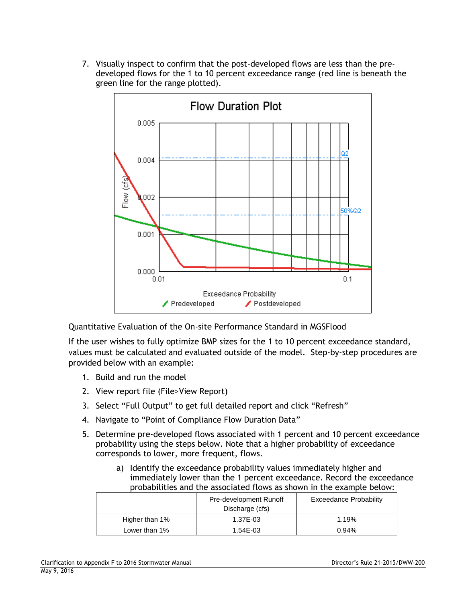7. Visually inspect to confirm that the post-developed flows are less than the predeveloped flows for the 1 to 10 percent exceedance range (red line is beneath the green line for the range plotted).



## Quantitative Evaluation of the On-site Performance Standard in MGSFlood

If the user wishes to fully optimize BMP sizes for the 1 to 10 percent exceedance standard, values must be calculated and evaluated outside of the model. Step-by-step procedures are provided below with an example:

- 1. Build and run the model
- 2. View report file (File>View Report)
- 3. Select "Full Output" to get full detailed report and click "Refresh"
- 4. Navigate to "Point of Compliance Flow Duration Data"
- 5. Determine pre-developed flows associated with 1 percent and 10 percent exceedance probability using the steps below. Note that a higher probability of exceedance corresponds to lower, more frequent, flows.
	- a) Identify the exceedance probability values immediately higher and immediately lower than the 1 percent exceedance. Record the exceedance probabilities and the associated flows as shown in the example below:

|                | Pre-development Runoff<br>Discharge (cfs) | <b>Exceedance Probability</b> |
|----------------|-------------------------------------------|-------------------------------|
| Higher than 1% | 1.37E-03                                  | 1.19%                         |
| Lower than 1%  | 1.54E-03                                  | 0.94%                         |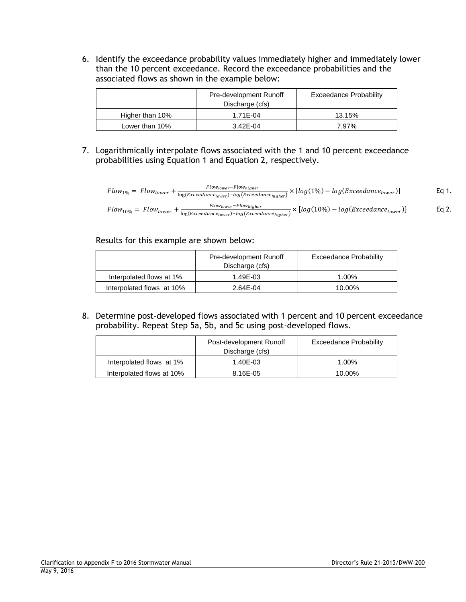6. Identify the exceedance probability values immediately higher and immediately lower than the 10 percent exceedance. Record the exceedance probabilities and the associated flows as shown in the example below:

|                 | Pre-development Runoff<br>Discharge (cfs) | <b>Exceedance Probability</b> |
|-----------------|-------------------------------------------|-------------------------------|
| Higher than 10% | 1.71E-04                                  | 13.15%                        |
| Lower than 10%  | $3.42E - 04$                              | 7.97%                         |

7. Logarithmically interpolate flows associated with the 1 and 10 percent exceedance probabilities using Equation 1 and Equation 2, respectively.

$$
Flow_{1\%} = Flow_{lower} + \frac{Flow_{lower-Flow_{higher}}}{\log(Exceedance_{lower}) - \log(Exceedance_{higher})} \times [\log(1\%) - \log(Exceedance_{lower})]
$$
 Eq 1.  
\n
$$
Flow_{10\%} = Flow_{lower} + \frac{Flow_{lower-Flow_{higher}}}{\log(Exceedance_{lower}) - \log(Exceedance_{higher})} \times [\log(10\%) - \log(Exceedance_{lower})]
$$
 Eq 2.

Results for this example are shown below:

|                           | Pre-development Runoff<br>Discharge (cfs) | <b>Exceedance Probability</b> |
|---------------------------|-------------------------------------------|-------------------------------|
| Interpolated flows at 1%  | 1.49E-03                                  | 1.00%                         |
| Interpolated flows at 10% | 2.64E-04                                  | $10.00\%$                     |

8. Determine post-developed flows associated with 1 percent and 10 percent exceedance probability. Repeat Step 5a, 5b, and 5c using post-developed flows.

|                           | Post-development Runoff<br>Discharge (cfs) | <b>Exceedance Probability</b> |
|---------------------------|--------------------------------------------|-------------------------------|
| Interpolated flows at 1%  | 1.40E-03                                   | 1.00%                         |
| Interpolated flows at 10% | 8.16E-05                                   | 10.00%                        |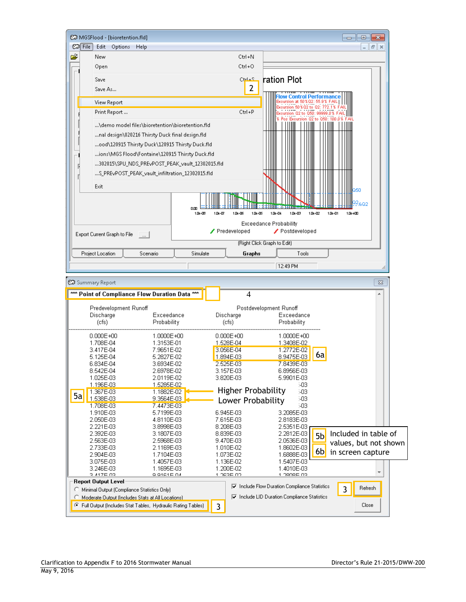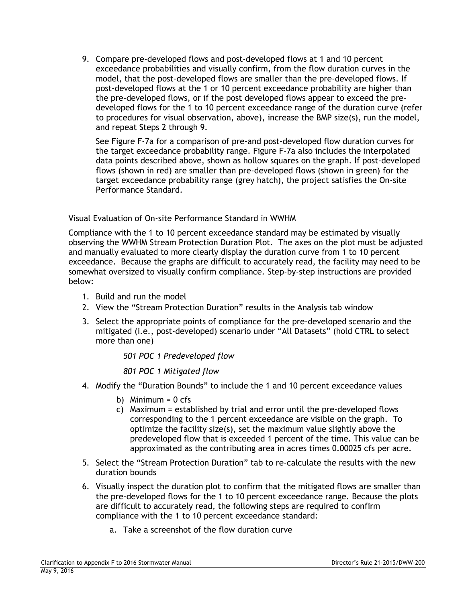9. Compare pre-developed flows and post-developed flows at 1 and 10 percent exceedance probabilities and visually confirm, from the flow duration curves in the model, that the post-developed flows are smaller than the pre-developed flows. If post-developed flows at the 1 or 10 percent exceedance probability are higher than the pre-developed flows, or if the post developed flows appear to exceed the predeveloped flows for the 1 to 10 percent exceedance range of the duration curve (refer to procedures for visual observation, above), increase the BMP size(s), run the model, and repeat Steps 2 through 9.

See Figure F-7a for a comparison of pre-and post-developed flow duration curves for the target exceedance probability range. Figure F-7a also includes the interpolated data points described above, shown as hollow squares on the graph. If post-developed flows (shown in red) are smaller than pre-developed flows (shown in green) for the target exceedance probability range (grey hatch), the project satisfies the On-site Performance Standard.

#### Visual Evaluation of On-site Performance Standard in WWHM

Compliance with the 1 to 10 percent exceedance standard may be estimated by visually observing the WWHM Stream Protection Duration Plot. The axes on the plot must be adjusted and manually evaluated to more clearly display the duration curve from 1 to 10 percent exceedance. Because the graphs are difficult to accurately read, the facility may need to be somewhat oversized to visually confirm compliance. Step-by-step instructions are provided below:

- 1. Build and run the model
- 2. View the "Stream Protection Duration" results in the Analysis tab window
- 3. Select the appropriate points of compliance for the pre-developed scenario and the mitigated (i.e., post-developed) scenario under "All Datasets" (hold CTRL to select more than one)

*501 POC 1 Predeveloped flow*

*801 POC 1 Mitigated flow*

- 4. Modify the "Duration Bounds" to include the 1 and 10 percent exceedance values
	- b) Minimum =  $0 \text{ cfs}$
	- c) Maximum = established by trial and error until the pre-developed flows corresponding to the 1 percent exceedance are visible on the graph. To optimize the facility size(s), set the maximum value slightly above the predeveloped flow that is exceeded 1 percent of the time. This value can be approximated as the contributing area in acres times 0.00025 cfs per acre.
- 5. Select the "Stream Protection Duration" tab to re-calculate the results with the new duration bounds
- 6. Visually inspect the duration plot to confirm that the mitigated flows are smaller than the pre-developed flows for the 1 to 10 percent exceedance range. Because the plots are difficult to accurately read, the following steps are required to confirm compliance with the 1 to 10 percent exceedance standard:
	- a. Take a screenshot of the flow duration curve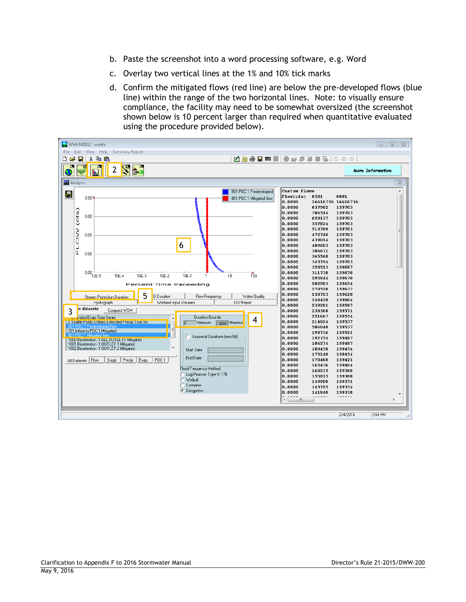- b. Paste the screenshot into a word processing software, e.g. Word
- c. Overlay two vertical lines at the 1% and 10% tick marks
- d. Confirm the mitigated flows (red line) are below the pre-developed flows (blue line) within the range of the two horizontal lines. Note: to visually ensure compliance, the facility may need to be somewhat oversized (the screenshot shown below is 10 percent larger than required when quantitative evaluated using the procedure provided below).

| WWHM2012 seattle                                                                                                                                                                                                                                                                                                                                                                                                                                                                                                                                                                                                                                                                                                                                                                                                                                                                                                                                                                                                                            | $\Box$<br>$\Sigma$<br>$\qquad \qquad \Box$                                                                                                                                                                                                                                                                                                                                                                                                                                                                                                                                                                                                                                                                                                                                                                                                                                                                                                                                                                                                                                                                                                                                                                                                            |
|---------------------------------------------------------------------------------------------------------------------------------------------------------------------------------------------------------------------------------------------------------------------------------------------------------------------------------------------------------------------------------------------------------------------------------------------------------------------------------------------------------------------------------------------------------------------------------------------------------------------------------------------------------------------------------------------------------------------------------------------------------------------------------------------------------------------------------------------------------------------------------------------------------------------------------------------------------------------------------------------------------------------------------------------|-------------------------------------------------------------------------------------------------------------------------------------------------------------------------------------------------------------------------------------------------------------------------------------------------------------------------------------------------------------------------------------------------------------------------------------------------------------------------------------------------------------------------------------------------------------------------------------------------------------------------------------------------------------------------------------------------------------------------------------------------------------------------------------------------------------------------------------------------------------------------------------------------------------------------------------------------------------------------------------------------------------------------------------------------------------------------------------------------------------------------------------------------------------------------------------------------------------------------------------------------------|
| File Edit View Help Summary Report                                                                                                                                                                                                                                                                                                                                                                                                                                                                                                                                                                                                                                                                                                                                                                                                                                                                                                                                                                                                          |                                                                                                                                                                                                                                                                                                                                                                                                                                                                                                                                                                                                                                                                                                                                                                                                                                                                                                                                                                                                                                                                                                                                                                                                                                                       |
| ▯空圓<br>人名尼                                                                                                                                                                                                                                                                                                                                                                                                                                                                                                                                                                                                                                                                                                                                                                                                                                                                                                                                                                                                                                  | ZO @ Q B M   O # 5 2 8 8 0 0 0 0                                                                                                                                                                                                                                                                                                                                                                                                                                                                                                                                                                                                                                                                                                                                                                                                                                                                                                                                                                                                                                                                                                                                                                                                                      |
| SA<br>$\overline{2}$<br><b>I</b>                                                                                                                                                                                                                                                                                                                                                                                                                                                                                                                                                                                                                                                                                                                                                                                                                                                                                                                                                                                                            | More Information                                                                                                                                                                                                                                                                                                                                                                                                                                                                                                                                                                                                                                                                                                                                                                                                                                                                                                                                                                                                                                                                                                                                                                                                                                      |
| Analysis                                                                                                                                                                                                                                                                                                                                                                                                                                                                                                                                                                                                                                                                                                                                                                                                                                                                                                                                                                                                                                    | $\overline{\mathbb{Z}}$                                                                                                                                                                                                                                                                                                                                                                                                                                                                                                                                                                                                                                                                                                                                                                                                                                                                                                                                                                                                                                                                                                                                                                                                                               |
| 501 POC 1 Predeveloped<br>Н<br>$0.00*$<br>801 POC 1 Mitigated flow<br>↗<br>(cfs<br>0.00<br>ζ<br>δ<br>0.00<br>6<br>L<br>$\mathsf{L}$<br>0.00<br>0.00<br>10E-5<br>10E-2<br>100<br>$10E-4$<br>10E-3<br>$10E-1$<br>10<br>1<br>Percent Time Exceeding<br>5<br>D Duration<br>Flow Frequency<br>Water Quality<br><b>Stream Protection Duration</b><br>Wetland Input Volumes<br>LID Report<br>Hydrograph<br>e datasets<br>Compact WDM<br>3<br>Duration Bounds<br>Inded Evap Time Series<br>4<br>2 Seattle Public Utilities Extended Precip Time Se<br>Minimum<br> 0 <br>1,00003 Maximur<br>501 POC 1 Predeveloped flow<br>Ξ<br>701 Inflow to POC 1 Mitigated<br>801 POC 1 Mitigated flow<br>Seasonal Durations (mm/dd)<br>1000 Bioretention 1 ALL UUTLETS Mitigated<br>1001 Bioretention 1 OUTLET 1 Mitigated<br>1002 Bioretention 1 OUTLET 2 Mitigated<br>Start Date<br>End Date<br>POC <sub>1</sub><br>All Datasets   Flow<br>Precip<br>Evap<br>Stage<br>Flood Frequency Method<br>Log Pearson Type III 17B<br>Weibull<br>Cunnane<br>C Gringorten | <b>Custom Flows</b><br>0501<br>0801<br>Flow(cfs)<br> 0.0000<br>16616736 16616736<br> 0.0000<br>837982<br>159703<br> 0.0000<br>159703<br>706544<br> 0.0000<br>620137<br>159703<br> 0.0000<br>557824<br>159703<br> 0.0000<br>159703<br>513789<br> 0.0000<br>159703<br>472746<br> 0.0000<br>439014<br>159703<br> 0.0000<br>159703<br>409603<br> 0.0000<br>159703<br>386671<br> 0.0000<br>159703<br>365568<br> 0.0000<br>345794<br>159703<br> 0.0000<br>328513<br>159687<br> 0.0000<br>311730<br>159670<br>$ {\bf 0}$ , 0000<br>295944<br>159670<br> 0.0000<br>282983<br>159654<br> 0.0000<br>270520<br>159637<br> 0.0000<br>159620<br>258723<br> 0.0000<br>159604<br>248420<br> 0.0000<br>239281<br>159587<br> 0.0000<br>230308<br>159571<br> 0.0000<br>159554<br>221667<br> 0.0000<br>214024<br>159537<br> 0.0000<br>206048<br>159537<br> 0.0000<br>198736<br>159521<br> 0.0000<br>192754<br>159487<br> 0.0000<br>186274<br>159487<br> 0.0000<br>180458<br>159454<br> 0.0000<br>175140<br>159454<br> 0.0000<br>170488<br>159421<br> 0.0000<br>159404<br>165436<br> 0.0000<br>160235<br>159388<br> 0.0000<br>155815<br>159388<br> 0.0000<br>149900<br>159371<br> 0.0000<br>145795<br>159354<br> 0.0000<br>141940<br>159338<br>m,<br>$\blacktriangleleft$ |
|                                                                                                                                                                                                                                                                                                                                                                                                                                                                                                                                                                                                                                                                                                                                                                                                                                                                                                                                                                                                                                             | 2/4/2016<br>3:54 PM                                                                                                                                                                                                                                                                                                                                                                                                                                                                                                                                                                                                                                                                                                                                                                                                                                                                                                                                                                                                                                                                                                                                                                                                                                   |
|                                                                                                                                                                                                                                                                                                                                                                                                                                                                                                                                                                                                                                                                                                                                                                                                                                                                                                                                                                                                                                             |                                                                                                                                                                                                                                                                                                                                                                                                                                                                                                                                                                                                                                                                                                                                                                                                                                                                                                                                                                                                                                                                                                                                                                                                                                                       |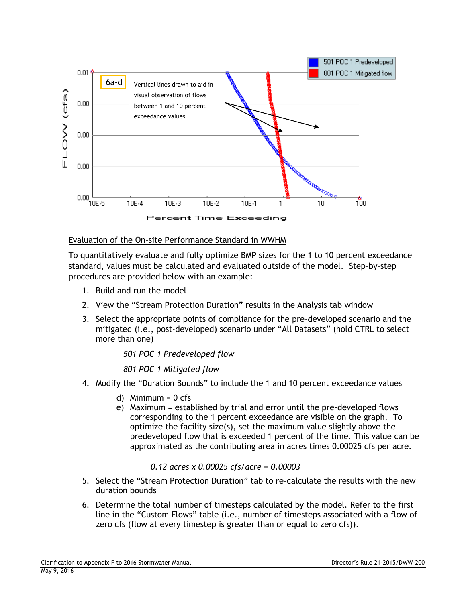

#### Evaluation of the On-site Performance Standard in WWHM

To quantitatively evaluate and fully optimize BMP sizes for the 1 to 10 percent exceedance standard, values must be calculated and evaluated outside of the model. Step-by-step procedures are provided below with an example:

- 1. Build and run the model
- 2. View the "Stream Protection Duration" results in the Analysis tab window
- 3. Select the appropriate points of compliance for the pre-developed scenario and the mitigated (i.e., post-developed) scenario under "All Datasets" (hold CTRL to select more than one)

*501 POC 1 Predeveloped flow*

*801 POC 1 Mitigated flow*

- 4. Modify the "Duration Bounds" to include the 1 and 10 percent exceedance values
	- d) Minimum  $= 0$  cfs
	- e) Maximum = established by trial and error until the pre-developed flows corresponding to the 1 percent exceedance are visible on the graph. To optimize the facility size(s), set the maximum value slightly above the predeveloped flow that is exceeded 1 percent of the time. This value can be approximated as the contributing area in acres times 0.00025 cfs per acre.

## *0.12 acres x 0.00025 cfs/acre = 0.00003*

- 5. Select the "Stream Protection Duration" tab to re-calculate the results with the new duration bounds
- 6. Determine the total number of timesteps calculated by the model. Refer to the first line in the "Custom Flows" table (i.e., number of timesteps associated with a flow of zero cfs (flow at every timestep is greater than or equal to zero cfs)).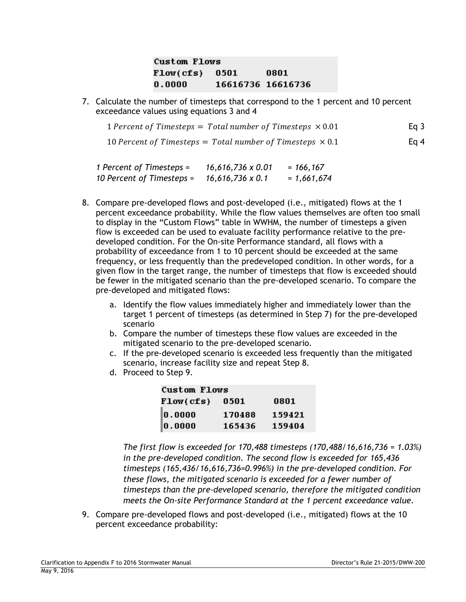| Custom Flows |                   |      |  |
|--------------|-------------------|------|--|
| Flow(cfs)    | 0501              | 0801 |  |
| 0.0000       | 16616736 16616736 |      |  |

7. Calculate the number of timesteps that correspond to the 1 percent and 10 percent exceedance values using equations 3 and 4

| 1 Percent of Timesteps = Total number of Timesteps $\times 0.01$ | Eq <sub>3</sub> |  |
|------------------------------------------------------------------|-----------------|--|
|------------------------------------------------------------------|-----------------|--|

10 Percent of Timesteps = Total number of Timesteps  $\times$  0.1 Eq 4

| 1 Percent of Timesteps =    | 16,616,736 x 0.01       | $= 166, 167$  |
|-----------------------------|-------------------------|---------------|
| 10 Percent of Timesteps $=$ | $16,616,736 \times 0.1$ | $= 1,661,674$ |

- 8. Compare pre-developed flows and post-developed (i.e., mitigated) flows at the 1 percent exceedance probability. While the flow values themselves are often too small to display in the "Custom Flows" table in WWHM, the number of timesteps a given flow is exceeded can be used to evaluate facility performance relative to the predeveloped condition. For the On-site Performance standard, all flows with a probability of exceedance from 1 to 10 percent should be exceeded at the same frequency, or less frequently than the predeveloped condition. In other words, for a given flow in the target range, the number of timesteps that flow is exceeded should be fewer in the mitigated scenario than the pre-developed scenario. To compare the pre-developed and mitigated flows:
	- a. Identify the flow values immediately higher and immediately lower than the target 1 percent of timesteps (as determined in Step 7) for the pre-developed scenario
	- b. Compare the number of timesteps these flow values are exceeded in the mitigated scenario to the pre-developed scenario.
	- c. If the pre-developed scenario is exceeded less frequently than the mitigated scenario, increase facility size and repeat Step 8.
	- d. Proceed to Step 9.

| Custom Flows     |        |        |
|------------------|--------|--------|
| Flow(cfs)        | 0501   | 0801   |
| $\vert$ 0 . 0000 | 170488 | 159421 |
| $\ 0.0000\ $     | 165436 | 159404 |

*The first flow is exceeded for 170,488 timesteps (170,488/16,616,736 = 1.03%) in the pre-developed condition. The second flow is exceeded for 165,436 timesteps (165,436/16,616,736=0.996%) in the pre-developed condition. For these flows, the mitigated scenario is exceeded for a fewer number of timesteps than the pre-developed scenario, therefore the mitigated condition meets the On-site Performance Standard at the 1 percent exceedance value.*

9. Compare pre-developed flows and post-developed (i.e., mitigated) flows at the 10 percent exceedance probability: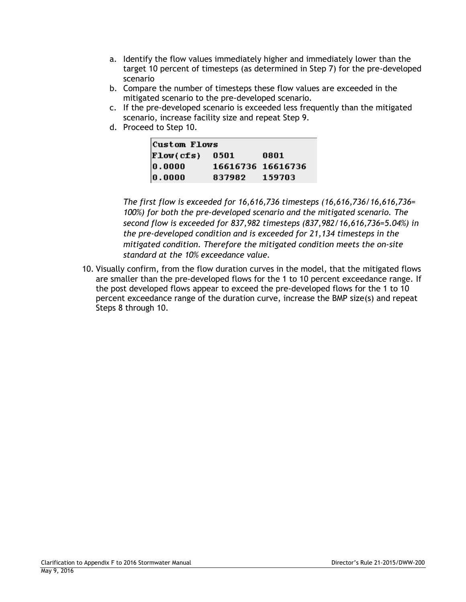- a. Identify the flow values immediately higher and immediately lower than the target 10 percent of timesteps (as determined in Step 7) for the pre-developed scenario
- b. Compare the number of timesteps these flow values are exceeded in the mitigated scenario to the pre-developed scenario.
- c. If the pre-developed scenario is exceeded less frequently than the mitigated scenario, increase facility size and repeat Step 9.
- d. Proceed to Step 10.

| Custom Flows |        |                   |
|--------------|--------|-------------------|
| [Flow(cfs)]  | 0501   | 0801              |
| 0.0000       |        | 16616736 16616736 |
| 0.0000       | 837982 | 159703            |

*The first flow is exceeded for 16,616,736 timesteps (16,616,736/16,616,736= 100%) for both the pre-developed scenario and the mitigated scenario. The second flow is exceeded for 837,982 timesteps (837,982/16,616,736=5.04%) in the pre-developed condition and is exceeded for 21,134 timesteps in the mitigated condition. Therefore the mitigated condition meets the on-site standard at the 10% exceedance value.*

10. Visually confirm, from the flow duration curves in the model, that the mitigated flows are smaller than the pre-developed flows for the 1 to 10 percent exceedance range. If the post developed flows appear to exceed the pre-developed flows for the 1 to 10 percent exceedance range of the duration curve, increase the BMP size(s) and repeat Steps 8 through 10.